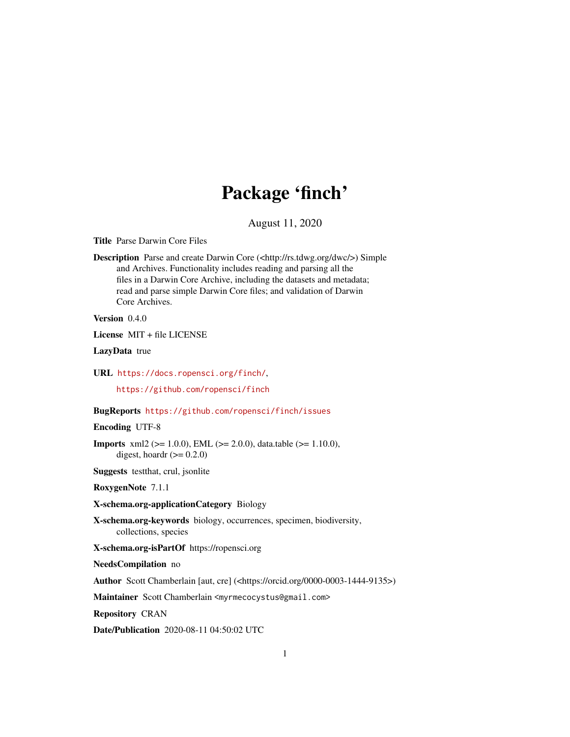# Package 'finch'

August 11, 2020

<span id="page-0-0"></span>Title Parse Darwin Core Files

Description Parse and create Darwin Core (<http://rs.tdwg.org/dwc/>) Simple and Archives. Functionality includes reading and parsing all the files in a Darwin Core Archive, including the datasets and metadata; read and parse simple Darwin Core files; and validation of Darwin Core Archives.

Version 0.4.0

License MIT + file LICENSE

LazyData true

URL <https://docs.ropensci.org/finch/>,

<https://github.com/ropensci/finch>

BugReports <https://github.com/ropensci/finch/issues>

Encoding UTF-8

**Imports** xml2 ( $>= 1.0.0$ ), EML ( $>= 2.0.0$ ), data.table ( $>= 1.10.0$ ), digest, hoardr  $(>= 0.2.0)$ 

Suggests testthat, crul, jsonlite

RoxygenNote 7.1.1

X-schema.org-applicationCategory Biology

X-schema.org-keywords biology, occurrences, specimen, biodiversity, collections, species

X-schema.org-isPartOf https://ropensci.org

NeedsCompilation no

Author Scott Chamberlain [aut, cre] (<https://orcid.org/0000-0003-1444-9135>)

Maintainer Scott Chamberlain <myrmecocystus@gmail.com>

Repository CRAN

Date/Publication 2020-08-11 04:50:02 UTC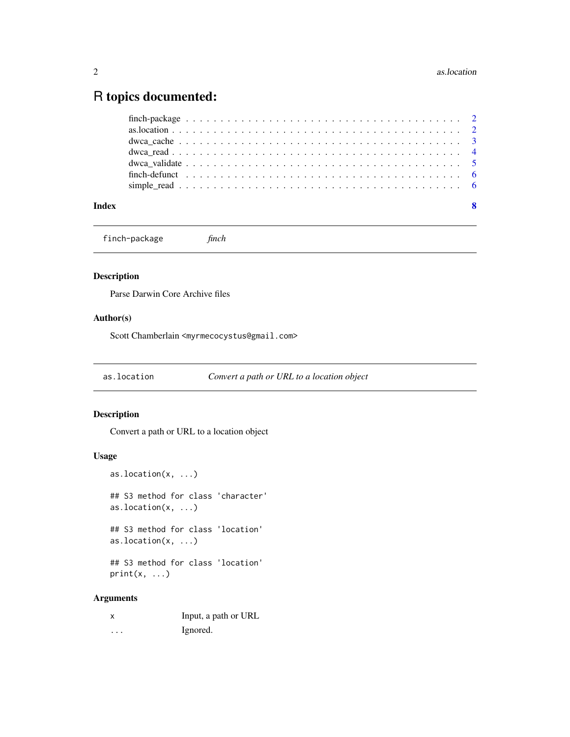# <span id="page-1-0"></span>R topics documented:

finch-package *finch*

# Description

Parse Darwin Core Archive files

# Author(s)

Scott Chamberlain <myrmecocystus@gmail.com>

as.location *Convert a path or URL to a location object*

# Description

Convert a path or URL to a location object

# Usage

as.location(x, ...) ## S3 method for class 'character' as.location(x, ...) ## S3 method for class 'location' as.location(x, ...) ## S3 method for class 'location'  $print(x, \ldots)$ 

# Arguments

|   | Input, a path or URL |
|---|----------------------|
| . | Ignored.             |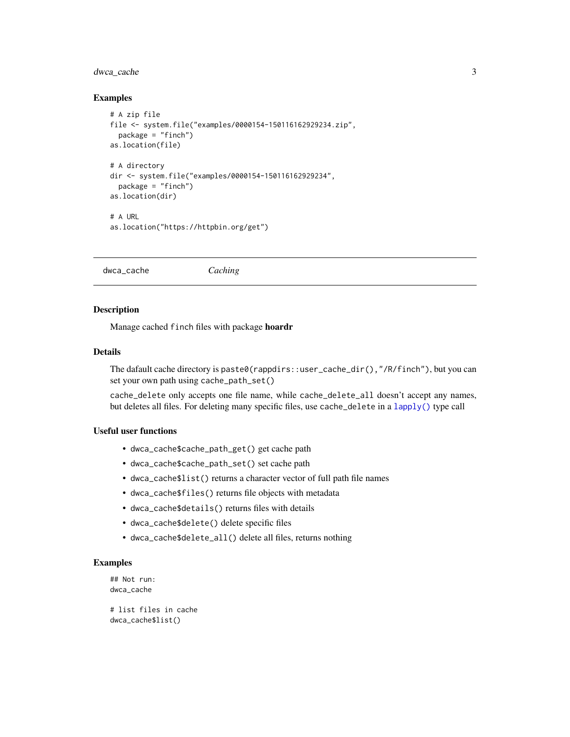# <span id="page-2-0"></span>dwca\_cache 3

#### Examples

```
# A zip file
file <- system.file("examples/0000154-150116162929234.zip",
  package = "finch")
as.location(file)
# A directory
dir <- system.file("examples/0000154-150116162929234",
  package = "finch")
as.location(dir)
# A URL
as.location("https://httpbin.org/get")
```
<span id="page-2-1"></span>dwca\_cache *Caching*

#### Description

Manage cached finch files with package hoardr

#### Details

The dafault cache directory is paste0(rappdirs::user\_cache\_dir(),"/R/finch"), but you can set your own path using cache\_path\_set()

cache\_delete only accepts one file name, while cache\_delete\_all doesn't accept any names, but deletes all files. For deleting many specific files, use cache\_delete in a [lapply\(\)](#page-0-0) type call

# Useful user functions

- dwca\_cache\$cache\_path\_get() get cache path
- dwca\_cache\$cache\_path\_set() set cache path
- dwca\_cache\$list() returns a character vector of full path file names
- dwca\_cache\$files() returns file objects with metadata
- dwca\_cache\$details() returns files with details
- dwca\_cache\$delete() delete specific files
- dwca\_cache\$delete\_all() delete all files, returns nothing

#### Examples

```
## Not run:
dwca_cache
# list files in cache
```

```
dwca_cache$list()
```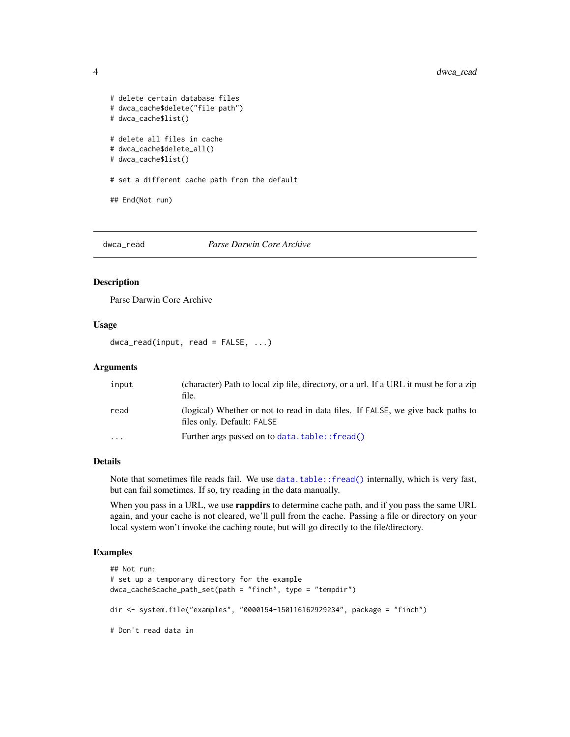```
# delete certain database files
# dwca_cache$delete("file path")
# dwca_cache$list()
# delete all files in cache
# dwca_cache$delete_all()
# dwca_cache$list()
# set a different cache path from the default
## End(Not run)
```
# dwca\_read *Parse Darwin Core Archive*

# Description

Parse Darwin Core Archive

### Usage

```
dwca_read(input, read = FALSE, ...)
```
#### Arguments

| input                   | (character) Path to local zip file, directory, or a url. If a URL it must be for a zip<br>file.               |
|-------------------------|---------------------------------------------------------------------------------------------------------------|
| read                    | (logical) Whether or not to read in data files. If FALSE, we give back paths to<br>files only. Default: FALSE |
| $\cdot$ $\cdot$ $\cdot$ | Further args passed on to data.table:: fread()                                                                |

# Details

Note that sometimes file reads fail. We use [data.table::fread\(\)](#page-0-0) internally, which is very fast, but can fail sometimes. If so, try reading in the data manually.

When you pass in a URL, we use **rappdirs** to determine cache path, and if you pass the same URL again, and your cache is not cleared, we'll pull from the cache. Passing a file or directory on your local system won't invoke the caching route, but will go directly to the file/directory.

# Examples

```
## Not run:
# set up a temporary directory for the example
dwca_cache$cache_path_set(path = "finch", type = "tempdir")
dir <- system.file("examples", "0000154-150116162929234", package = "finch")
# Don't read data in
```
<span id="page-3-0"></span>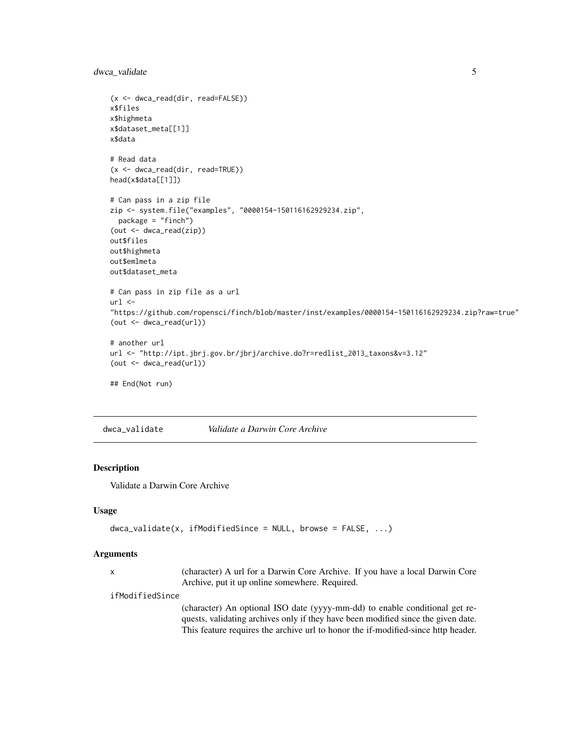<span id="page-4-0"></span>dwca\_validate 5

```
(x <- dwca_read(dir, read=FALSE))
x$files
x$highmeta
x$dataset_meta[[1]]
x$data
# Read data
(x <- dwca_read(dir, read=TRUE))
head(x$data[[1]])
# Can pass in a zip file
zip <- system.file("examples", "0000154-150116162929234.zip",
  package = "finch")
(out <- dwca_read(zip))
out$files
out$highmeta
out$emlmeta
out$dataset_meta
# Can pass in zip file as a url
url <-
"https://github.com/ropensci/finch/blob/master/inst/examples/0000154-150116162929234.zip?raw=true"
(out <- dwca_read(url))
# another url
url <- "http://ipt.jbrj.gov.br/jbrj/archive.do?r=redlist_2013_taxons&v=3.12"
(out <- dwca_read(url))
## End(Not run)
```
dwca\_validate *Validate a Darwin Core Archive*

## Description

Validate a Darwin Core Archive

### Usage

```
dwca_validate(x, ifModifiedSince = NULL, browse = FALSE, ...)
```
#### Arguments

x (character) A url for a Darwin Core Archive. If you have a local Darwin Core Archive, put it up online somewhere. Required.

#### ifModifiedSince

(character) An optional ISO date (yyyy-mm-dd) to enable conditional get requests, validating archives only if they have been modified since the given date. This feature requires the archive url to honor the if-modified-since http header.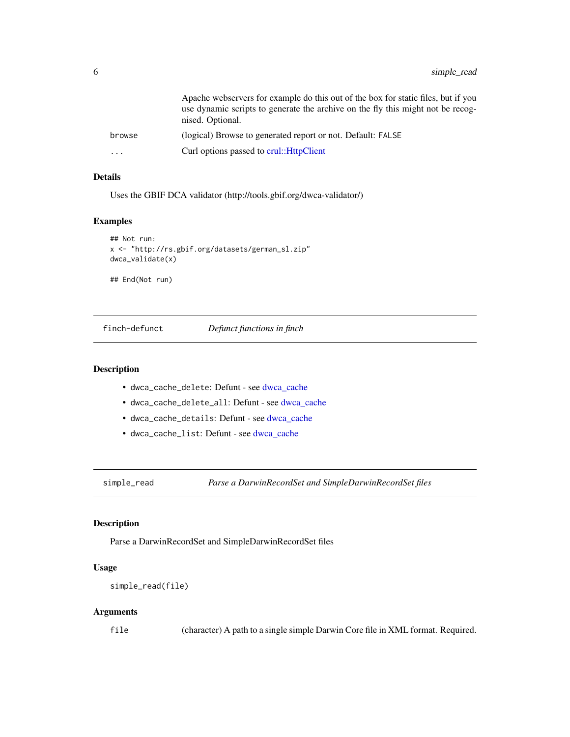<span id="page-5-0"></span>

|          | Apache webservers for example do this out of the box for static files, but if you<br>use dynamic scripts to generate the archive on the fly this might not be recog-<br>nised. Optional. |
|----------|------------------------------------------------------------------------------------------------------------------------------------------------------------------------------------------|
| browse   | (logical) Browse to generated report or not. Default: FALSE                                                                                                                              |
| $\cdots$ | Curl options passed to crul:: HttpClient                                                                                                                                                 |

#### Details

Uses the GBIF DCA validator (http://tools.gbif.org/dwca-validator/)

# Examples

```
## Not run:
x <- "http://rs.gbif.org/datasets/german_sl.zip"
dwca_validate(x)
```
## End(Not run)

finch-defunct *Defunct functions in finch*

## Description

- dwca\_cache\_delete: Defunt see [dwca\\_cache](#page-2-1)
- dwca\_cache\_delete\_all: Defunt see [dwca\\_cache](#page-2-1)
- dwca\_cache\_details: Defunt see [dwca\\_cache](#page-2-1)
- dwca\_cache\_list: Defunt see [dwca\\_cache](#page-2-1)

simple\_read *Parse a DarwinRecordSet and SimpleDarwinRecordSet files*

# Description

Parse a DarwinRecordSet and SimpleDarwinRecordSet files

# Usage

```
simple_read(file)
```
#### Arguments

file (character) A path to a single simple Darwin Core file in XML format. Required.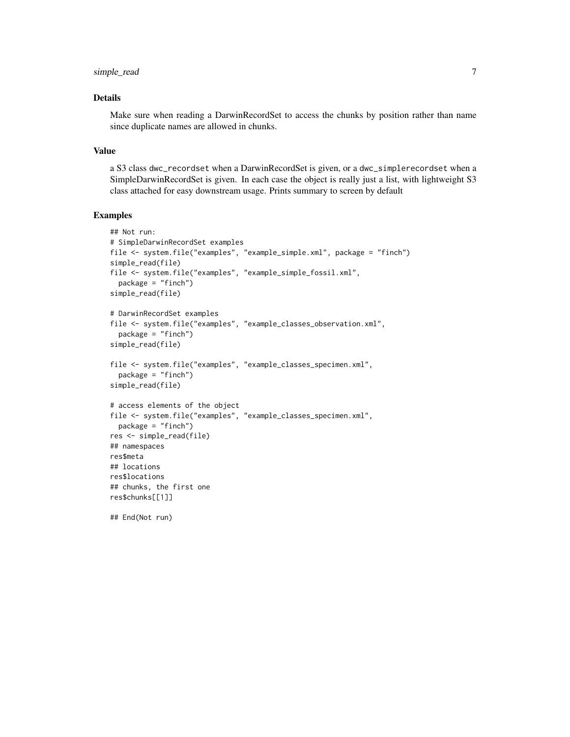# simple\_read 7

# Details

Make sure when reading a DarwinRecordSet to access the chunks by position rather than name since duplicate names are allowed in chunks.

#### Value

a S3 class dwc\_recordset when a DarwinRecordSet is given, or a dwc\_simplerecordset when a SimpleDarwinRecordSet is given. In each case the object is really just a list, with lightweight S3 class attached for easy downstream usage. Prints summary to screen by default

### Examples

```
## Not run:
# SimpleDarwinRecordSet examples
file <- system.file("examples", "example_simple.xml", package = "finch")
simple_read(file)
file <- system.file("examples", "example_simple_fossil.xml",
  package = "finch")
simple_read(file)
# DarwinRecordSet examples
file <- system.file("examples", "example_classes_observation.xml",
  package = "finch")
simple_read(file)
file <- system.file("examples", "example_classes_specimen.xml",
  package = "finch")
simple_read(file)
# access elements of the object
file <- system.file("examples", "example_classes_specimen.xml",
  package = "finch")
res <- simple_read(file)
## namespaces
res$meta
## locations
res$locations
## chunks, the first one
res$chunks[[1]]
## End(Not run)
```